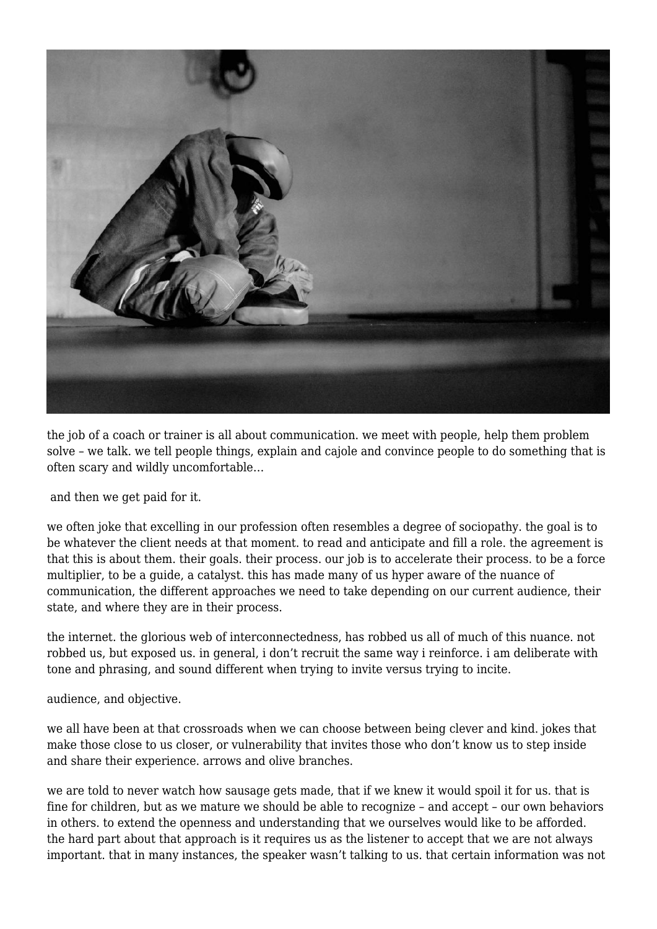

the job of a coach or trainer is all about communication. we meet with people, help them problem solve – we talk. we tell people things, explain and cajole and convince people to do something that is often scary and wildly uncomfortable…

and then we get paid for it.

we often joke that excelling in our profession often resembles a degree of sociopathy. the goal is to be whatever the client needs at that moment. to read and anticipate and fill a role. the agreement is that this is about them. their goals. their process. our job is to accelerate their process. to be a force multiplier, to be a guide, a catalyst. this has made many of us hyper aware of the nuance of communication, the different approaches we need to take depending on our current audience, their state, and where they are in their process.

the internet. the glorious web of interconnectedness, has robbed us all of much of this nuance. not robbed us, but exposed us. in general, i don't recruit the same way i reinforce. i am deliberate with tone and phrasing, and sound different when trying to invite versus trying to incite.

audience, and objective.

we all have been at that crossroads when we can choose between being clever and kind. jokes that make those close to us closer, or vulnerability that invites those who don't know us to step inside and share their experience. arrows and olive branches.

we are told to never watch how sausage gets made, that if we knew it would spoil it for us. that is fine for children, but as we mature we should be able to recognize – and accept – our own behaviors in others. to extend the openness and understanding that we ourselves would like to be afforded. the hard part about that approach is it requires us as the listener to accept that we are not always important. that in many instances, the speaker wasn't talking to us. that certain information was not